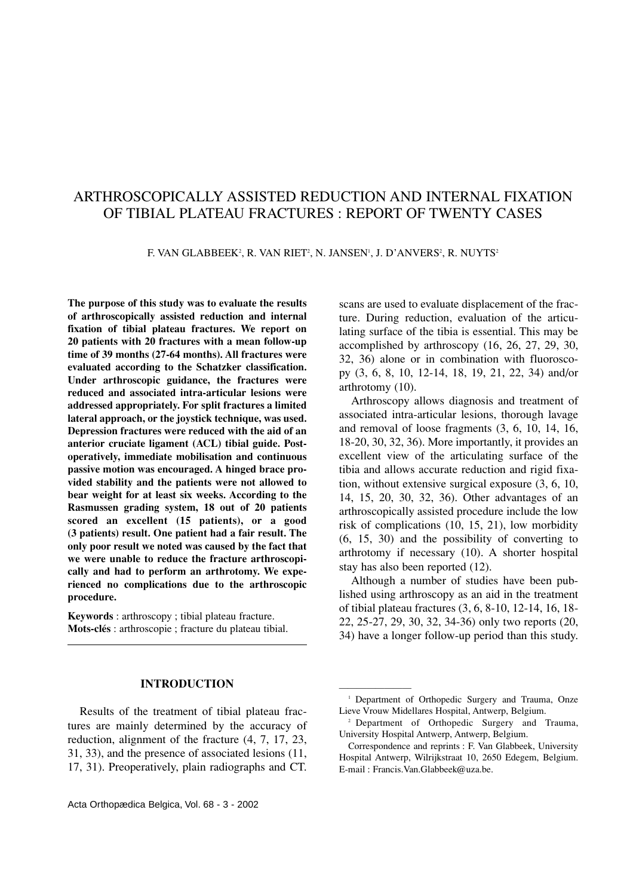# ARTHROSCOPICALLY ASSISTED REDUCTION AND INTERNAL FIXATION OF TIBIAL PLATEAU FRACTURES : REPORT OF TWENTY CASES

F. VAN GLABBEEK², R. VAN RIET², N. JANSEN', J. D'ANVERS², R. NUYTS<del>'</del>

**The purpose of this study was to evaluate the results of arthroscopically assisted reduction and internal fixation of tibial plateau fractures. We report on 20 patients with 20 fractures with a mean follow-up time of 39 months (27-64 months). All fractures were evaluated according to the Schatzker classification. Under arthroscopic guidance, the fractures were reduced and associated intra-articular lesions were addressed appropriately. For split fractures a limited lateral approach, or the joystick technique, was used. Depression fractures were reduced with the aid of an anterior cruciate ligament (ACL) tibial guide. Postoperatively, immediate mobilisation and continuous passive motion was encouraged. A hinged brace provided stability and the patients were not allowed to bear weight for at least six weeks. According to the Rasmussen grading system, 18 out of 20 patients scored an excellent (15 patients), or a good (3 patients) result. One patient had a fair result. The only poor result we noted was caused by the fact that we were unable to reduce the fracture arthroscopically and had to perform an arthrotomy. We experienced no complications due to the arthroscopic procedure.**

**Keywords** : arthroscopy ; tibial plateau fracture. **Mots-clés** : arthroscopie ; fracture du plateau tibial.

### **INTRODUCTION**

Results of the treatment of tibial plateau fractures are mainly determined by the accuracy of reduction, alignment of the fracture (4, 7, 17, 23, 31, 33), and the presence of associated lesions (11, 17, 31). Preoperatively, plain radiographs and CT.

scans are used to evaluate displacement of the fracture. During reduction, evaluation of the articulating surface of the tibia is essential. This may be accomplished by arthroscopy (16, 26, 27, 29, 30, 32, 36) alone or in combination with fluoroscopy (3, 6, 8, 10, 12-14, 18, 19, 21, 22, 34) and/or arthrotomy (10).

Arthroscopy allows diagnosis and treatment of associated intra-articular lesions, thorough lavage and removal of loose fragments (3, 6, 10, 14, 16, 18-20, 30, 32, 36). More importantly, it provides an excellent view of the articulating surface of the tibia and allows accurate reduction and rigid fixation, without extensive surgical exposure (3, 6, 10, 14, 15, 20, 30, 32, 36). Other advantages of an arthroscopically assisted procedure include the low risk of complications (10, 15, 21), low morbidity (6, 15, 30) and the possibility of converting to arthrotomy if necessary (10). A shorter hospital stay has also been reported (12).

Although a number of studies have been published using arthroscopy as an aid in the treatment of tibial plateau fractures (3, 6, 8-10, 12-14, 16, 18- 22, 25-27, 29, 30, 32, 34-36) only two reports (20, 34) have a longer follow-up period than this study.

————————

<sup>&</sup>lt;sup>1</sup> Department of Orthopedic Surgery and Trauma, Onze Lieve Vrouw Midellares Hospital, Antwerp, Belgium.

<sup>2</sup> Department of Orthopedic Surgery and Trauma, University Hospital Antwerp, Antwerp, Belgium.

Correspondence and reprints : F. Van Glabbeek, University Hospital Antwerp, Wilrijkstraat 10, 2650 Edegem, Belgium. E-mail : Francis.Van.Glabbeek@uza.be.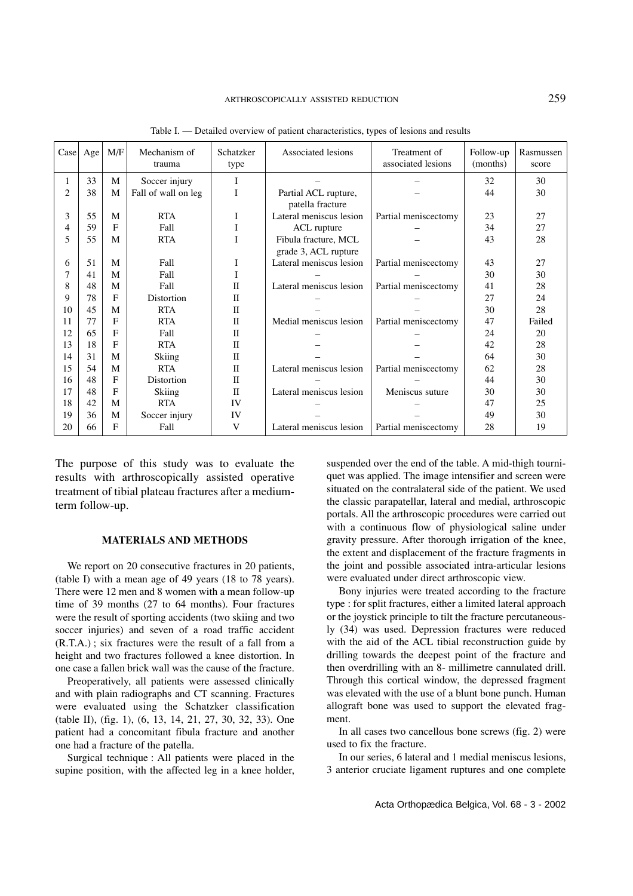| Case | Age | M/F         | Mechanism of<br>trauma | Schatzker<br>type | Associated lesions<br>Treatment of<br>associated lesions |                      | Follow-up<br>(months) | Rasmussen<br>score |
|------|-----|-------------|------------------------|-------------------|----------------------------------------------------------|----------------------|-----------------------|--------------------|
| 1    | 33  | M           | Soccer injury          | I                 |                                                          |                      | 32                    | 30                 |
| 2    | 38  | M           | Fall of wall on leg    | I                 | Partial ACL rupture,                                     |                      | 44                    | 30                 |
|      |     |             |                        |                   | patella fracture                                         |                      |                       |                    |
| 3    | 55  | M           | <b>RTA</b>             | I                 | Lateral meniscus lesion                                  | Partial meniscectomy | 23                    | 27                 |
| 4    | 59  | $\mathbf F$ | Fall                   | I                 | ACL rupture                                              |                      | 34                    | 27                 |
| 5    | 55  | M           | <b>RTA</b>             | I                 | Fibula fracture, MCL                                     |                      | 43                    | 28                 |
|      |     |             |                        |                   | grade 3, ACL rupture                                     |                      |                       |                    |
| 6    | 51  | M           | Fall                   | I                 | Lateral meniscus lesion                                  | Partial meniscectomy | 43                    | 27                 |
|      | 41  | M           | Fall                   | I                 |                                                          |                      | 30                    | 30                 |
| 8    | 48  | M           | Fall                   | $\mathbf{I}$      | Lateral meniscus lesion                                  | Partial meniscectomy | 41                    | 28                 |
| 9    | 78  | F           | Distortion             | $\mathbf{I}$      |                                                          |                      | 27                    | 24                 |
| 10   | 45  | M           | <b>RTA</b>             | $\mathbf{I}$      |                                                          |                      | 30                    | 28                 |
| 11   | 77  | F           | <b>RTA</b>             | $\mathbf{I}$      | Medial meniscus lesion                                   | Partial meniscectomy | 47                    | Failed             |
| 12   | 65  | F           | Fall                   | $\mathbf{I}$      |                                                          |                      | 24                    | 20                 |
| 13   | 18  | F           | <b>RTA</b>             | $\mathbf{I}$      |                                                          |                      | 42                    | 28                 |
| 14   | 31  | M           | Skiing                 | $\mathbf{I}$      |                                                          |                      | 64                    | 30                 |
| 15   | 54  | M           | <b>RTA</b>             | $\mathbf{I}$      | Lateral meniscus lesion                                  | Partial meniscectomy | 62                    | 28                 |
| 16   | 48  | F           | Distortion             | $\mathbf{I}$      |                                                          |                      | 44                    | 30                 |
| 17   | 48  | F           | Skiing                 | $\mathbf{I}$      | Lateral meniscus lesion                                  | Meniscus suture      | 30                    | 30                 |
| 18   | 42  | M           | <b>RTA</b>             | IV                |                                                          |                      | 47                    | 25                 |
| 19   | 36  | M           | Soccer injury          | IV                |                                                          |                      | 49                    | 30                 |
| 20   | 66  | F           | Fall                   | V                 | Lateral meniscus lesion                                  | Partial meniscectomy | 28                    | 19                 |

Table I. — Detailed overview of patient characteristics, types of lesions and results

The purpose of this study was to evaluate the results with arthroscopically assisted operative treatment of tibial plateau fractures after a mediumterm follow-up.

#### **MATERIALS AND METHODS**

We report on 20 consecutive fractures in 20 patients, (table I) with a mean age of 49 years (18 to 78 years). There were 12 men and 8 women with a mean follow-up time of 39 months (27 to 64 months). Four fractures were the result of sporting accidents (two skiing and two soccer injuries) and seven of a road traffic accident (R.T.A.) ; six fractures were the result of a fall from a height and two fractures followed a knee distortion. In one case a fallen brick wall was the cause of the fracture.

Preoperatively, all patients were assessed clinically and with plain radiographs and CT scanning. Fractures were evaluated using the Schatzker classification (table II), (fig. 1), (6, 13, 14, 21, 27, 30, 32, 33). One patient had a concomitant fibula fracture and another one had a fracture of the patella.

Surgical technique : All patients were placed in the supine position, with the affected leg in a knee holder,

suspended over the end of the table. A mid-thigh tourniquet was applied. The image intensifier and screen were situated on the contralateral side of the patient. We used the classic parapatellar, lateral and medial, arthroscopic portals. All the arthroscopic procedures were carried out with a continuous flow of physiological saline under gravity pressure. After thorough irrigation of the knee, the extent and displacement of the fracture fragments in the joint and possible associated intra-articular lesions were evaluated under direct arthroscopic view.

Bony injuries were treated according to the fracture type : for split fractures, either a limited lateral approach or the joystick principle to tilt the fracture percutaneously (34) was used. Depression fractures were reduced with the aid of the ACL tibial reconstruction guide by drilling towards the deepest point of the fracture and then overdrilling with an 8- millimetre cannulated drill. Through this cortical window, the depressed fragment was elevated with the use of a blunt bone punch. Human allograft bone was used to support the elevated fragment.

In all cases two cancellous bone screws (fig. 2) were used to fix the fracture.

In our series, 6 lateral and 1 medial meniscus lesions, 3 anterior cruciate ligament ruptures and one complete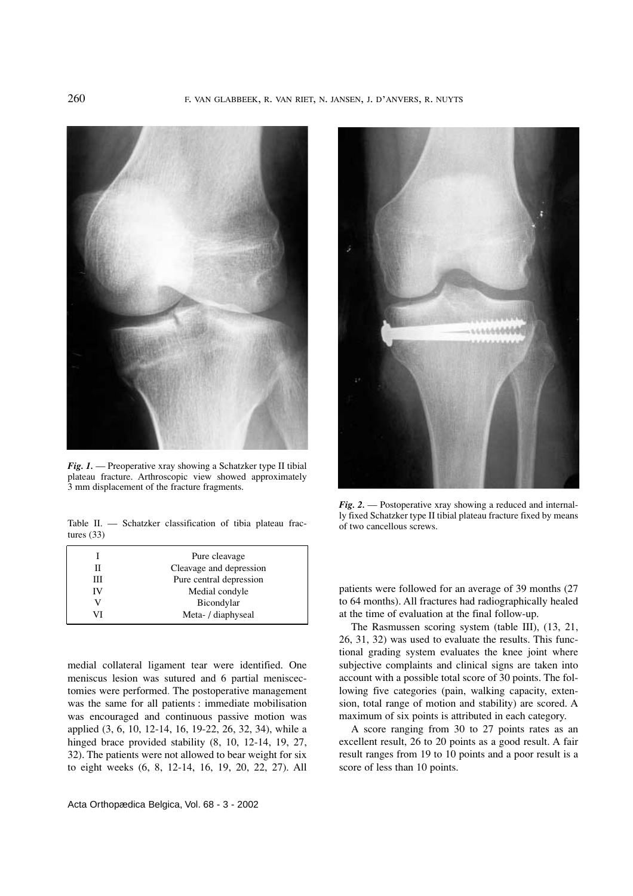

*Fig. 1.* — Preoperative xray showing a Schatzker type II tibial plateau fracture. Arthroscopic view showed approximately 3 mm displacement of the fracture fragments.

Table II. — Schatzker classification of tibia plateau frac- of two cancellous screws. tures (33)

|    | Pure cleavage           |
|----|-------------------------|
| П  | Cleavage and depression |
| Ш  | Pure central depression |
| IV | Medial condyle          |
|    | Bicondylar              |
| VI | Meta- / diaphyseal      |

medial collateral ligament tear were identified. One meniscus lesion was sutured and 6 partial meniscectomies were performed. The postoperative management was the same for all patients : immediate mobilisation was encouraged and continuous passive motion was applied (3, 6, 10, 12-14, 16, 19-22, 26, 32, 34), while a hinged brace provided stability  $(8, 10, 12-14, 19, 27,$ 32). The patients were not allowed to bear weight for six to eight weeks (6, 8, 12-14, 16, 19, 20, 22, 27). All



*Fig. 2.* — Postoperative xray showing a reduced and internally fixed Schatzker type II tibial plateau fracture fixed by means

patients were followed for an average of 39 months (27 to 64 months). All fractures had radiographically healed at the time of evaluation at the final follow-up.

The Rasmussen scoring system (table III), (13, 21, 26, 31, 32) was used to evaluate the results. This functional grading system evaluates the knee joint where subjective complaints and clinical signs are taken into account with a possible total score of 30 points. The following five categories (pain, walking capacity, extension, total range of motion and stability) are scored. A maximum of six points is attributed in each category.

A score ranging from 30 to 27 points rates as an excellent result, 26 to 20 points as a good result. A fair result ranges from 19 to 10 points and a poor result is a score of less than 10 points.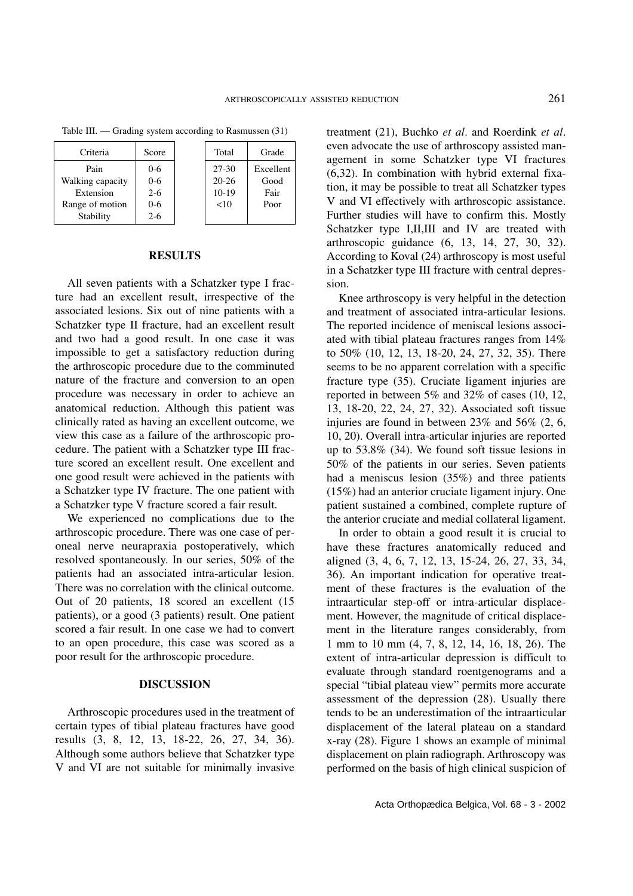| Criteria |                  | Score   | Total     | Grade     |
|----------|------------------|---------|-----------|-----------|
|          |                  |         |           |           |
|          | Pain             | $0 - 6$ | $27 - 30$ | Excellent |
|          | Walking capacity | $0 - 6$ | $20 - 26$ | Good      |
|          | Extension        | $2 - 6$ | $10-19$   | Fair      |
|          | Range of motion  | $0 - 6$ | < 10      | Poor      |
|          | Stability        | $2 - 6$ |           |           |
|          |                  |         |           |           |

Table III. — Grading system according to Rasmussen (31)

## **RESULTS**

All seven patients with a Schatzker type I fracture had an excellent result, irrespective of the associated lesions. Six out of nine patients with a Schatzker type II fracture, had an excellent result and two had a good result. In one case it was impossible to get a satisfactory reduction during the arthroscopic procedure due to the comminuted nature of the fracture and conversion to an open procedure was necessary in order to achieve an anatomical reduction. Although this patient was clinically rated as having an excellent outcome, we view this case as a failure of the arthroscopic procedure. The patient with a Schatzker type III fracture scored an excellent result. One excellent and one good result were achieved in the patients with a Schatzker type IV fracture. The one patient with a Schatzker type V fracture scored a fair result.

We experienced no complications due to the arthroscopic procedure. There was one case of peroneal nerve neurapraxia postoperatively, which resolved spontaneously. In our series, 50% of the patients had an associated intra-articular lesion. There was no correlation with the clinical outcome. Out of 20 patients, 18 scored an excellent (15 patients), or a good (3 patients) result. One patient scored a fair result. In one case we had to convert to an open procedure, this case was scored as a poor result for the arthroscopic procedure.

#### **DISCUSSION**

Arthroscopic procedures used in the treatment of certain types of tibial plateau fractures have good results (3, 8, 12, 13, 18-22, 26, 27, 34, 36). Although some authors believe that Schatzker type V and VI are not suitable for minimally invasive

treatment (21), Buchko *et al.* and Roerdink *et al*. even advocate the use of arthroscopy assisted management in some Schatzker type VI fractures (6,32). In combination with hybrid external fixation, it may be possible to treat all Schatzker types V and VI effectively with arthroscopic assistance. Further studies will have to confirm this. Mostly Schatzker type I,II,III and IV are treated with arthroscopic guidance (6, 13, 14, 27, 30, 32). According to Koval (24) arthroscopy is most useful in a Schatzker type III fracture with central depression.

Knee arthroscopy is very helpful in the detection and treatment of associated intra-articular lesions. The reported incidence of meniscal lesions associated with tibial plateau fractures ranges from 14% to 50% (10, 12, 13, 18-20, 24, 27, 32, 35). There seems to be no apparent correlation with a specific fracture type (35). Cruciate ligament injuries are reported in between 5% and 32% of cases (10, 12, 13, 18-20, 22, 24, 27, 32). Associated soft tissue injuries are found in between 23% and 56% (2, 6, 10, 20). Overall intra-articular injuries are reported up to 53.8% (34). We found soft tissue lesions in 50% of the patients in our series. Seven patients had a meniscus lesion (35%) and three patients (15%) had an anterior cruciate ligament injury. One patient sustained a combined, complete rupture of the anterior cruciate and medial collateral ligament.

In order to obtain a good result it is crucial to have these fractures anatomically reduced and aligned (3, 4, 6, 7, 12, 13, 15-24, 26, 27, 33, 34, 36). An important indication for operative treatment of these fractures is the evaluation of the intraarticular step-off or intra-articular displacement. However, the magnitude of critical displacement in the literature ranges considerably, from 1 mm to 10 mm (4, 7, 8, 12, 14, 16, 18, 26). The extent of intra-articular depression is difficult to evaluate through standard roentgenograms and a special "tibial plateau view" permits more accurate assessment of the depression (28). Usually there tends to be an underestimation of the intraarticular displacement of the lateral plateau on a standard x-ray (28). Figure 1 shows an example of minimal displacement on plain radiograph. Arthroscopy was performed on the basis of high clinical suspicion of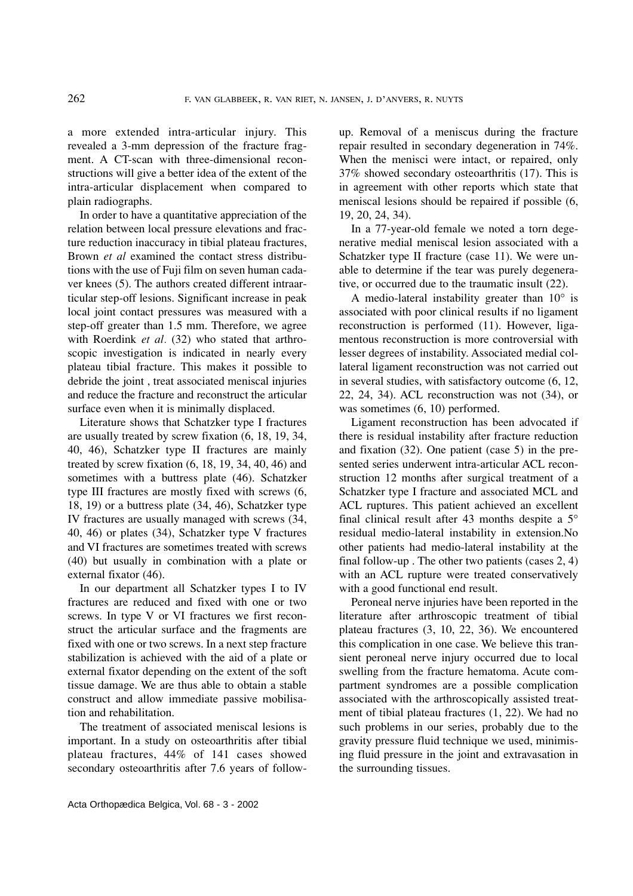a more extended intra-articular injury. This revealed a 3-mm depression of the fracture fragment. A CT-scan with three-dimensional reconstructions will give a better idea of the extent of the intra-articular displacement when compared to plain radiographs.

In order to have a quantitative appreciation of the relation between local pressure elevations and fracture reduction inaccuracy in tibial plateau fractures, Brown *et al* examined the contact stress distributions with the use of Fuji film on seven human cadaver knees (5). The authors created different intraarticular step-off lesions. Significant increase in peak local joint contact pressures was measured with a step-off greater than 1.5 mm. Therefore, we agree with Roerdink *et al.* (32) who stated that arthroscopic investigation is indicated in nearly every plateau tibial fracture. This makes it possible to debride the joint , treat associated meniscal injuries and reduce the fracture and reconstruct the articular surface even when it is minimally displaced.

Literature shows that Schatzker type I fractures are usually treated by screw fixation (6, 18, 19, 34, 40, 46), Schatzker type II fractures are mainly treated by screw fixation  $(6, 18, 19, 34, 40, 46)$  and sometimes with a buttress plate (46). Schatzker type III fractures are mostly fixed with screws (6, 18, 19) or a buttress plate (34, 46), Schatzker type IV fractures are usually managed with screws (34, 40, 46) or plates (34), Schatzker type V fractures and VI fractures are sometimes treated with screws (40) but usually in combination with a plate or external fixator (46).

In our department all Schatzker types I to IV fractures are reduced and fixed with one or two screws. In type V or VI fractures we first reconstruct the articular surface and the fragments are fixed with one or two screws. In a next step fracture stabilization is achieved with the aid of a plate or external fixator depending on the extent of the soft tissue damage. We are thus able to obtain a stable construct and allow immediate passive mobilisation and rehabilitation.

The treatment of associated meniscal lesions is important. In a study on osteoarthritis after tibial plateau fractures, 44% of 141 cases showed secondary osteoarthritis after 7.6 years of followup. Removal of a meniscus during the fracture repair resulted in secondary degeneration in 74%. When the menisci were intact, or repaired, only 37% showed secondary osteoarthritis (17). This is in agreement with other reports which state that meniscal lesions should be repaired if possible (6, 19, 20, 24, 34).

In a 77-year-old female we noted a torn degenerative medial meniscal lesion associated with a Schatzker type II fracture (case 11). We were unable to determine if the tear was purely degenerative, or occurred due to the traumatic insult (22).

A medio-lateral instability greater than  $10^{\circ}$  is associated with poor clinical results if no ligament reconstruction is performed (11). However, ligamentous reconstruction is more controversial with lesser degrees of instability. Associated medial collateral ligament reconstruction was not carried out in several studies, with satisfactory outcome (6, 12, 22, 24, 34). ACL reconstruction was not (34), or was sometimes (6, 10) performed.

Ligament reconstruction has been advocated if there is residual instability after fracture reduction and fixation (32). One patient (case 5) in the presented series underwent intra-articular ACL reconstruction 12 months after surgical treatment of a Schatzker type I fracture and associated MCL and ACL ruptures. This patient achieved an excellent final clinical result after 43 months despite a 5° residual medio-lateral instability in extension.No other patients had medio-lateral instability at the final follow-up . The other two patients (cases 2, 4) with an ACL rupture were treated conservatively with a good functional end result.

Peroneal nerve injuries have been reported in the literature after arthroscopic treatment of tibial plateau fractures (3, 10, 22, 36). We encountered this complication in one case. We believe this transient peroneal nerve injury occurred due to local swelling from the fracture hematoma. Acute compartment syndromes are a possible complication associated with the arthroscopically assisted treatment of tibial plateau fractures (1, 22). We had no such problems in our series, probably due to the gravity pressure fluid technique we used, minimising fluid pressure in the joint and extravasation in the surrounding tissues.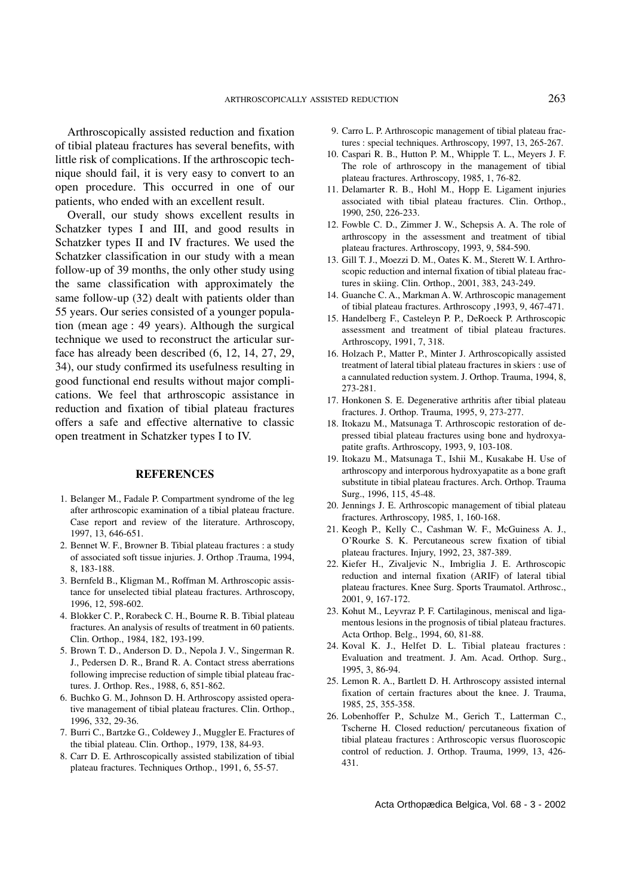Arthroscopically assisted reduction and fixation of tibial plateau fractures has several benefits, with little risk of complications. If the arthroscopic technique should fail, it is very easy to convert to an open procedure. This occurred in one of our patients, who ended with an excellent result.

Overall, our study shows excellent results in Schatzker types I and III, and good results in Schatzker types II and IV fractures. We used the Schatzker classification in our study with a mean follow-up of 39 months, the only other study using the same classification with approximately the same follow-up (32) dealt with patients older than 55 years. Our series consisted of a younger population (mean age : 49 years). Although the surgical technique we used to reconstruct the articular surface has already been described (6, 12, 14, 27, 29, 34), our study confirmed its usefulness resulting in good functional end results without major complications. We feel that arthroscopic assistance in reduction and fixation of tibial plateau fractures offers a safe and effective alternative to classic open treatment in Schatzker types I to IV.

#### **REFERENCES**

- 1. Belanger M., Fadale P. Compartment syndrome of the leg after arthroscopic examination of a tibial plateau fracture. Case report and review of the literature. Arthroscopy, 1997, 13, 646-651.
- 2. Bennet W. F., Browner B. Tibial plateau fractures : a study of associated soft tissue injuries. J. Orthop .Trauma, 1994, 8, 183-188.
- 3. Bernfeld B., Kligman M., Roffman M. Arthroscopic assistance for unselected tibial plateau fractures. Arthroscopy, 1996, 12, 598-602.
- 4. Blokker C. P., Rorabeck C. H., Bourne R. B. Tibial plateau fractures. An analysis of results of treatment in 60 patients. Clin. Orthop., 1984, 182, 193-199.
- 5. Brown T. D., Anderson D. D., Nepola J. V., Singerman R. J., Pedersen D. R., Brand R. A. Contact stress aberrations following imprecise reduction of simple tibial plateau fractures. J. Orthop. Res., 1988, 6, 851-862.
- 6. Buchko G. M., Johnson D. H. Arthroscopy assisted operative management of tibial plateau fractures. Clin. Orthop., 1996, 332, 29-36.
- 7. Burri C., Bartzke G., Coldewey J., Muggler E. Fractures of the tibial plateau. Clin. Orthop., 1979, 138, 84-93.
- 8. Carr D. E. Arthroscopically assisted stabilization of tibial plateau fractures. Techniques Orthop., 1991, 6, 55-57.
- 9. Carro L. P. Arthroscopic management of tibial plateau fractures : special techniques. Arthroscopy, 1997, 13, 265-267.
- 10. Caspari R. B., Hutton P. M., Whipple T. L., Meyers J. F. The role of arthroscopy in the management of tibial plateau fractures. Arthroscopy, 1985, 1, 76-82.
- 11. Delamarter R. B., Hohl M., Hopp E. Ligament injuries associated with tibial plateau fractures. Clin. Orthop., 1990, 250, 226-233.
- 12. Fowble C. D., Zimmer J. W., Schepsis A. A. The role of arthroscopy in the assessment and treatment of tibial plateau fractures. Arthroscopy, 1993, 9, 584-590.
- 13. Gill T. J., Moezzi D. M., Oates K. M., Sterett W. I. Arthroscopic reduction and internal fixation of tibial plateau fractures in skiing. Clin. Orthop., 2001, 383, 243-249.
- 14. Guanche C. A., Markman A. W. Arthroscopic management of tibial plateau fractures. Arthroscopy ,1993, 9, 467-471.
- 15. Handelberg F., Casteleyn P. P., DeRoeck P. Arthroscopic assessment and treatment of tibial plateau fractures. Arthroscopy, 1991, 7, 318.
- 16. Holzach P., Matter P., Minter J. Arthroscopically assisted treatment of lateral tibial plateau fractures in skiers : use of a cannulated reduction system. J. Orthop. Trauma, 1994, 8, 273-281.
- 17. Honkonen S. E. Degenerative arthritis after tibial plateau fractures. J. Orthop. Trauma, 1995, 9, 273-277.
- 18. Itokazu M., Matsunaga T. Arthroscopic restoration of depressed tibial plateau fractures using bone and hydroxyapatite grafts. Arthroscopy, 1993, 9, 103-108.
- 19. Itokazu M., Matsunaga T., Ishii M., Kusakabe H. Use of arthroscopy and interporous hydroxyapatite as a bone graft substitute in tibial plateau fractures. Arch. Orthop. Trauma Surg., 1996, 115, 45-48.
- 20. Jennings J. E. Arthroscopic management of tibial plateau fractures. Arthroscopy, 1985, 1, 160-168.
- 21. Keogh P., Kelly C., Cashman W. F., McGuiness A. J., O'Rourke S. K. Percutaneous screw fixation of tibial plateau fractures. Injury, 1992, 23, 387-389.
- 22. Kiefer H., Zivaljevic N., Imbriglia J. E. Arthroscopic reduction and internal fixation (ARIF) of lateral tibial plateau fractures. Knee Surg. Sports Traumatol. Arthrosc., 2001, 9, 167-172.
- 23. Kohut M., Leyvraz P. F. Cartilaginous, meniscal and ligamentous lesions in the prognosis of tibial plateau fractures. Acta Orthop. Belg., 1994, 60, 81-88.
- 24. Koval K. J., Helfet D. L. Tibial plateau fractures : Evaluation and treatment. J. Am. Acad. Orthop. Surg., 1995, 3, 86-94.
- 25. Lemon R. A., Bartlett D. H. Arthroscopy assisted internal fixation of certain fractures about the knee. J. Trauma, 1985, 25, 355-358.
- 26. Lobenhoffer P., Schulze M., Gerich T., Latterman C., Tscherne H. Closed reduction/ percutaneous fixation of tibial plateau fractures : Arthroscopic versus fluoroscopic control of reduction. J. Orthop. Trauma, 1999, 13, 426- 431.

Acta Orthopædica Belgica, Vol. 68 - 3 - 2002